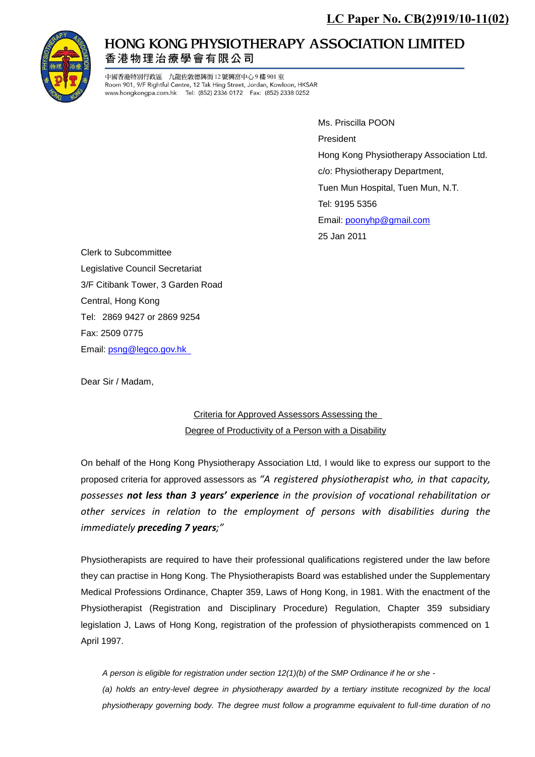

## **HONG KONG PHYSIOTHERAPY ASSOCIATION LIMITED** 香港物理治療學會有限公司

中國香港特別行政區 九龍佐敦德興街 12號興富中心9樓901室 Room 901, 9/F Rightful Centre, 12 Tak Hing Street, Jordan, Kowloon, HKSAR www.hongkongpa.com.hk Tel: (852) 2336 0172 Fax: (852) 2338 0252

> Ms. Priscilla POON President Hong Kong Physiotherapy Association Ltd. c/o: Physiotherapy Department, Tuen Mun Hospital, Tuen Mun, N.T. Tel: Email: [poonyhp@gmail.com](mailto:poonyhp@gmail.com) 25 Jan 2011

Clerk to Subcommittee Legislative Council Secretariat 3/F Citibank Tower, 3 Garden Road Central, Hong Kong Tel: 2869 9427 or 2869 9254 Fax: 2509 0775 Email: [psng@legco.gov.hk](mailto:psng@legco.gov.hk) 

Dear Sir / Madam,

## Criteria for Approved Assessors Assessing the Degree of Productivity of a Person with a Disability

On behalf of the Hong Kong Physiotherapy Association Ltd, I would like to express our support to the proposed criteria for approved assessors as *"A registered physiotherapist who, in that capacity, possesses not less than 3 years' experience in the provision of vocational rehabilitation or other services in relation to the employment of persons with disabilities during the immediately preceding 7 years;"*

Physiotherapists are required to have their professional qualifications registered under the law before they can practise in Hong Kong. The Physiotherapists Board was established under the Supplementary Medical Professions Ordinance, Chapter 359, Laws of Hong Kong, in 1981. With the enactment of the Physiotherapist (Registration and Disciplinary Procedure) Regulation, Chapter 359 subsidiary legislation J, Laws of Hong Kong, registration of the profession of physiotherapists commenced on 1 April 1997.

*A person is eligible for registration under section 12(1)(b) of the SMP Ordinance if he or she -* 

*(a) holds an entry-level degree in physiotherapy awarded by a tertiary institute recognized by the local physiotherapy governing body. The degree must follow a programme equivalent to full-time duration of no*